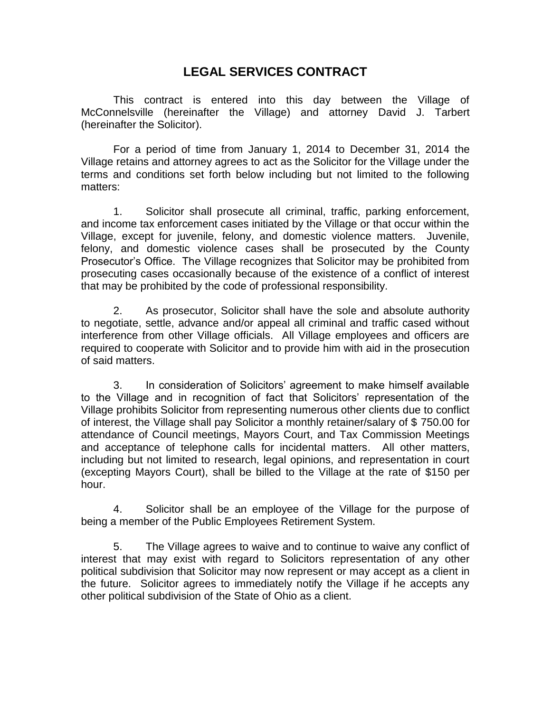## **LEGAL SERVICES CONTRACT**

This contract is entered into this day between the Village of McConnelsville (hereinafter the Village) and attorney David J. Tarbert (hereinafter the Solicitor).

For a period of time from January 1, 2014 to December 31, 2014 the Village retains and attorney agrees to act as the Solicitor for the Village under the terms and conditions set forth below including but not limited to the following matters:

1. Solicitor shall prosecute all criminal, traffic, parking enforcement, and income tax enforcement cases initiated by the Village or that occur within the Village, except for juvenile, felony, and domestic violence matters. Juvenile, felony, and domestic violence cases shall be prosecuted by the County Prosecutor's Office. The Village recognizes that Solicitor may be prohibited from prosecuting cases occasionally because of the existence of a conflict of interest that may be prohibited by the code of professional responsibility.

2. As prosecutor, Solicitor shall have the sole and absolute authority to negotiate, settle, advance and/or appeal all criminal and traffic cased without interference from other Village officials. All Village employees and officers are required to cooperate with Solicitor and to provide him with aid in the prosecution of said matters.

3. In consideration of Solicitors' agreement to make himself available to the Village and in recognition of fact that Solicitors' representation of the Village prohibits Solicitor from representing numerous other clients due to conflict of interest, the Village shall pay Solicitor a monthly retainer/salary of \$ 750.00 for attendance of Council meetings, Mayors Court, and Tax Commission Meetings and acceptance of telephone calls for incidental matters. All other matters, including but not limited to research, legal opinions, and representation in court (excepting Mayors Court), shall be billed to the Village at the rate of \$150 per hour.

4. Solicitor shall be an employee of the Village for the purpose of being a member of the Public Employees Retirement System.

5. The Village agrees to waive and to continue to waive any conflict of interest that may exist with regard to Solicitors representation of any other political subdivision that Solicitor may now represent or may accept as a client in the future. Solicitor agrees to immediately notify the Village if he accepts any other political subdivision of the State of Ohio as a client.